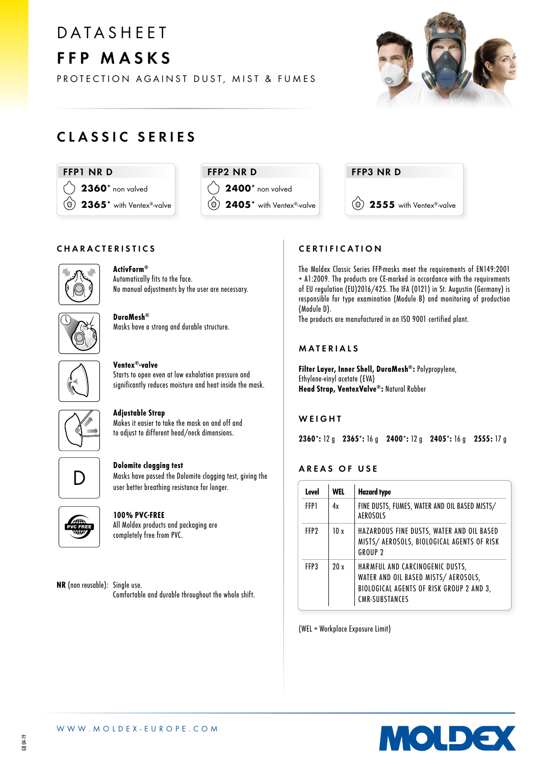# **DATASHEET** FFP MASKS

PROTECTION AGAINST DUST, MIST & FUMES



# CLASSIC SERIES







# CHARACTERISTICS



#### ActivForm® Automatically fits to the face.

No manual adjustments by the user are necessary.



DuraMesh® Masks have a strong and durable structure.



#### Ventex®-valve Starts to open even at low exhalation pressure and significantly reduces moisture and heat inside the mask.

#### Adjustable Strap

Makes it easier to take the mask on and off and to adjust to different head/neck dimensions.



#### Dolomite clogging test

Masks have passed the Dolomite clogging test, giving the user better breathing resistance for longer.



# 100% PVC-FREE

All Moldex products and packaging are completely free from PVC.

NR (non reusable): Single use. Comfortable and durable throughout the whole shift.

# CERTIFICATION

The Moldex Classic Series FFP-masks meet the requirements of EN149:2001 + A1:2009. The products are CE-marked in accordance with the requirements of EU regulation (EU)2016/425. The IFA (0121) in St. Augustin (Germany) is responsible for type examination (Module B) and monitoring of production (Module D).

The products are manufactured in an ISO 9001 certified plant.

### MATERIALS

Filter Layer, Inner Shell, DuraMesh®: Polypropylene, Ethylene-vinyl acetate (EVA) Head Strap, VentexValve®: Natural Rubber

#### **WEIGHT**

2360: 12 g 2365: 16 g 2400: 12 g 2405: 16 g 2555: 17 g

# AREAS OF USE

| Level            | <b>WEL</b> | <b>Hazard type</b>                                                                                                                           |  |
|------------------|------------|----------------------------------------------------------------------------------------------------------------------------------------------|--|
| FFP1             | 4х         | FINE DUSTS, FUMES, WATER AND OIL BASED MISTS/<br><b>AEROSOLS</b>                                                                             |  |
| FFP <sub>2</sub> | 10x        | HAZARDOUS FINE DUSTS, WATER AND OIL BASED<br>MISTS/ AEROSOLS, BIOLOGICAL AGENTS OF RISK<br><b>GROUP 2</b>                                    |  |
| FFP3             | 20x        | HARMFUL AND CARCINOGENIC DUSTS,<br>WATER AND OIL BASED MISTS/ AEROSOLS,<br>BIOLOGICAL AGENTS OF RISK GROUP 2 AND 3,<br><b>CMR-SUBSTANCES</b> |  |

(WEL = Workplace Exposure Limit)